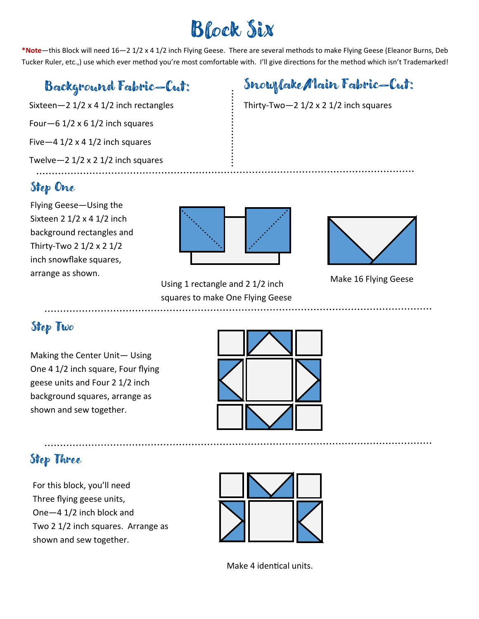# Block Six

**\*Note**—this Block will need 16—2 1/2 x 4 1/2 inch Flying Geese. There are several methods to make Flying Geese (Eleanor Burns, Deb Tucker Ruler, etc.,) use which ever method you're most comfortable with. I'll give directions for the method which isn't Trademarked!

### Background Fabric—Cut:

Sixteen—2 1/2 x 4 1/2 inch rectangles Four  $-6$  1/2 x 6 1/2 inch squares Five  $-4$  1/2 x 4 1/2 inch squares Twelve $-2$  1/2 x 2 1/2 inch squares

#### Step One

Flying Geese—Using the Sixteen 2 1/2 x 4 1/2 inch background rectangles and Thirty-Two 2 1/2 x 2 1/2 inch snowflake squares, arrange as shown.



Using 1 rectangle and 2 1/2 inch squares to make One Flying Geese

#### Snowflake/Main Fabric—Cut:

Thirty-Two $-2$  1/2 x 2 1/2 inch squares



Make 16 Flying Geese

#### Step Two

Making the Center Unit— Using One 4 1/2 inch square, Four flying geese units and Four 2 1/2 inch background squares, arrange as shown and sew together.



#### Step Three

For this block, you'll need Three flying geese units, One—4 1/2 inch block and Two 2 1/2 inch squares. Arrange as shown and sew together.



Make 4 identical units.